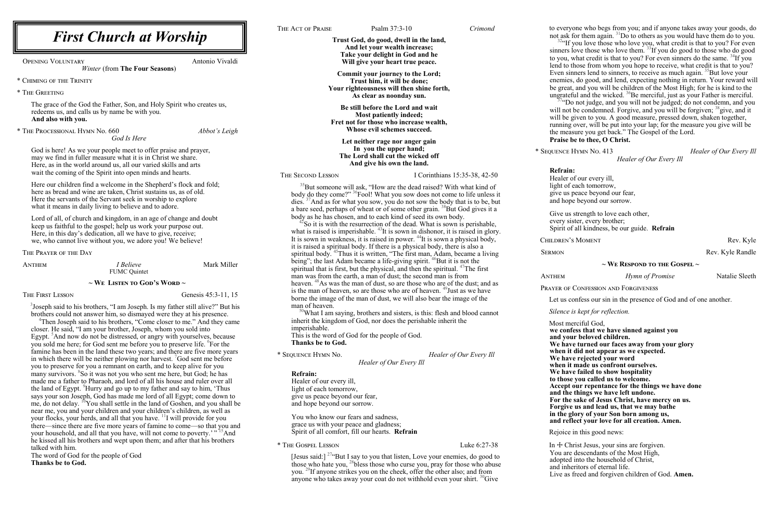**Trust God, do good, dwell in the land, And let your wealth increase; Take your delight in God and he Will give your heart true peace.**

**Commit your journey to the Lord; Trust him, it will be done; Your righteousness will then shine forth, As clear as noonday sun.**

**Be still before the Lord and wait Most patiently indeed; Fret not for those who increase wealth, Whose evil schemes succeed.**

 $35$ But someone will ask, "How are the dead raised? With what kind of body do they come?" <sup>36</sup>Fool! What you sow does not come to life unless it dies. <sup>37</sup>And as for what you sow, you do not sow the body that is to be, but a bare seed, perhaps of wheat or of some other grain. <sup>38</sup>But God gives it a body as he has chosen, and to each kind of seed its own body.

**Let neither rage nor anger gain In you the upper hand; The Lord shall cut the wicked off And give his own the land.**

## THE SECOND LESSON I Corinthians 15:35-38, 42-50

 $^{42}$ So it is with the resurrection of the dead. What is sown is perishable, what is raised is imperishable. <sup>43</sup>It is sown in dishonor, it is raised in glory. It is sown in weakness, it is raised in power.  $^{44}$ It is sown a physical body, it is raised a spiritual body. If there is a physical body, there is also a spiritual body.  $45$ Thus it is written, "The first man, Adam, became a living being"; the last Adam became a life-giving spirit.  $46$ But it is not the spiritual that is first, but the physical, and then the spiritual.  $47$ The first man was from the earth, a man of dust; the second man is from heaven. <sup>48</sup>As was the man of dust, so are those who are of the dust; and as is the man of heaven, so are those who are of heaven. <sup>49</sup> Just as we have borne the image of the man of dust, we will also bear the image of the man of heaven.

 $50$ What I am saying, brothers and sisters, is this: flesh and blood cannot inherit the kingdom of God, nor does the perishable inherit the imperishable.

to everyone who begs from you; and if anyone takes away your goods, do  $32$ "If you love those who love you, what credit is that to you? For even sinners love those who love them.  $^{33}$ If you do good to those who do good to you, what credit is that to you? For even sinners do the same.  $34$ If you Even sinners lend to sinners, to receive as much again.<sup>35</sup>But love your  $74$ "Do not judge, and you will not be judged; do not condemn, and you will not be condemned. Forgive, and you will be forgiven; <sup>38</sup> give, and it

not ask for them again. <sup>31</sup>Do to others as you would have them do to you. lend to those from whom you hope to receive, what credit is that to you? enemies, do good, and lend, expecting nothing in return. Your reward will be great, and you will be children of the Most High; for he is kind to the ungrateful and the wicked.  $36Be$  merciful, just as your Father is merciful. will be given to you. A good measure, pressed down, shaken together, running over, will be put into your lap; for the measure you give will be the measure you get back." The Gospel of the Lord. **Praise be to thee, O Christ.**

This is the word of God for the people of God. **Thanks be to God.**

\* Sequence Hymn No. *Healer of Our Every Ill*

*Healer of Our Every Ill*

## **Refrain:**

Healer of our every ill, light of each tomorrow, give us peace beyond our fear, and hope beyond our sorrow.

You who know our fears and sadness, grace us with your peace and gladness; Spirit of all comfort, fill our hearts. **Refrain**

\* The Gospel Lesson Luke 6:27-38

[Jesus said:]  $27^\circ$ But I say to you that listen, Love your enemies, do good to those who hate you,  $^{28}$ bless those who curse you, pray for those who abuse you. <sup>29</sup>If anyone strikes you on the cheek, offer the other also; and from anyone who takes away your coat do not withhold even your shirt.  ${}^{30}$ Give

In  $\pm$  Christ Jesus, your sins are forgiven. You are descendants of the Most High, adopted into the household of Christ, and inheritors of eternal life. Live as freed and forgiven children of God. **Amen.**

God is here! As we your people meet to offer praise and prayer, may we find in fuller measure what it is in Christ we share. Here, as in the world around us, all our varied skills and arts wait the coming of the Spirit into open minds and hearts.

<sup>3</sup>Joseph said to his brothers, "I am Joseph. Is my father still alive?" But his brothers could not answer him, so dismayed were they at his presence.

\* Sequence Hymn No. 413 *Healer of Our Every Ill*

SERMON Rev. Kyle Randle

*Healer of Our Every Ill*

**Refrain:**

<sup>4</sup>Then Joseph said to his brothers, "Come closer to me." And they came closer. He said, "I am your brother, Joseph, whom you sold into Egypt.<sup>5</sup>And now do not be distressed, or angry with yourselves, because you sold me here; for God sent me before you to preserve life. <sup>6</sup>For the famine has been in the land these two vears; and there are five more vears in which there will be neither plowing nor harvest.  $\sqrt{6}$  cod sent me before you to preserve for you a remnant on earth, and to keep alive for you many survivors. <sup>8</sup>So it was not you who sent me here, but God; he has made me a father to Pharaoh, and lord of all his house and ruler over all the land of Egypt.  $^{9}$ Hurry and go up to my father and say to him, 'Thus says your son Joseph, God has made me lord of all Egypt; come down to me, do not delay. <sup>10</sup>You shall settle in the land of Goshen, and you shall be near me, you and your children and your children's children, as well as your flocks, your herds, and all that you have. <sup>11</sup>I will provide for you there—since there are five more years of famine to come—so that you and your household, and all that you have, will not come to poverty.'"<sup>15</sup>And he kissed all his brothers and wept upon them; and after that his brothers talked with him.

Healer of our every ill, light of each tomorrow, give us peace beyond our fear, and hope beyond our sorrow.

Give us strength to love each other, every sister, every brother; Spirit of all kindness, be our guide. **Refrain**

CHILDREN'S MOMENT Rev. Kyle

#### **~ We Respond to the Gospel ~**

Anthem *Hymn of Promise* Natalie Sleeth

PRAYER OF CONFESSION AND FORGIVENESS

Let us confess our sin in the presence of God and of one another.

*Silence is kept for reflection.*

Most merciful God, **we confess that we have sinned against you and your beloved children. We have turned our faces away from your glory when it did not appear as we expected. We have rejected your word when it made us confront ourselves. We have failed to show hospitality to those you called us to welcome. Accept our repentance for the things we have done and the things we have left undone. For the sake of Jesus Christ, have mercy on us. Forgive us and lead us, that we may bathe in the glory of your Son born among us, and reflect your love for all creation. Amen.**

Rejoice in this good news:

Opening Voluntary Antonio Vivaldi

*Winter* (from **The Four Seasons**)

\* Chiming of the Trinity

\* The Greeting

The grace of the God the Father, Son, and Holy Spirit who creates us, redeems us, and calls us by name be with you. **And also with you.** 

\* The Processional Hymn No. 660 *Abbot's Leigh God Is Here*

Here our children find a welcome in the Shepherd's flock and fold; here as bread and wine are taken, Christ sustains us, as of old. Here the servants of the Servant seek in worship to explore what it means in daily living to believe and to adore.

Lord of all, of church and kingdom, in an age of change and doubt keep us faithful to the gospel; help us work your purpose out. Here, in this day's dedication, all we have to give, receive; we, who cannot live without you, we adore you! We believe!

The Prayer of the Day

Anthem *I Believe* Mark Miller FUMC Quintet

## $\sim$  We Listen to God's Word  $\sim$

THE FIRST LESSON Genesis 45:3-11, 15

The word of God for the people of God **Thanks be to God.**

THE ACT OF PRAISE Psalm 37:3-10 *Crimond*